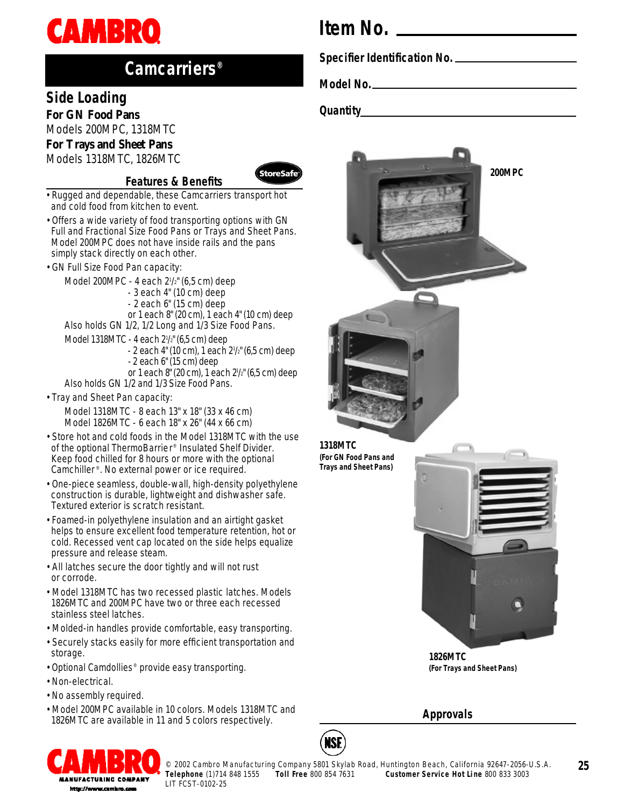

## **Camcarriers®**

### **Side Loading**

*For GN Food Pans* Models 200MPC, 1318MTC *For Trays and Sheet Pans*

Models 1318MTC, 1826MTC

#### **Features & Benefits**



- Rugged and dependable, these Camcarriers transport hot and cold food from kitchen to event.
- Offers a wide variety of food transporting options with GN Full and Fractional Size Food Pans or Trays and Sheet Pans. Model 200MPC does not have inside rails and the pans simply stack directly on each other.
- GN Full Size Food Pan capacity:

Model 200MPC - 4 each 2<sup>1</sup> /2" (6,5 cm) deep

- 3 each 4" (10 cm) deep
- 2 each 6" (15 cm) deep
- or 1 each 8" (20 cm), 1 each 4" (10 cm) deep
- Also holds GN 1/2, 1/2 Long and 1/3 Size Food Pans.
- Model 1318MTC 4 each 2<sup>1</sup> /2" (6,5 cm) deep
	- 2 each 4" (10 cm), 1 each 2<sup>1</sup> /2" (6,5 cm) deep - 2 each 6" (15 cm) deep
	-

or 1 each 8" (20 cm), 1 each 2<sup>1</sup> /2" (6,5 cm) deep Also holds GN 1/2 and 1/3 Size Food Pans.

• Tray and Sheet Pan capacity:

Model 1318MTC - 8 each 13" x 18" (33 x 46 cm) Model 1826MTC - 6 each 18" x 26" (44 x 66 cm)

- Store hot and cold foods in the Model 1318MTC with the use of the optional ThermoBarrier ® Insulated Shelf Divider. Keep food chilled for 8 hours or more with the optional Camchiller ® . No external power or ice required.
- One-piece seamless, double-wall, high-density polyethylene construction is durable, lightweight and dishwasher safe. Textured exterior is scratch resistant.
- Foamed-in polyethylene insulation and an airtight gasket helps to ensure excellent food temperature retention, hot or cold. Recessed vent cap located on the side helps equalize pressure and release steam.
- All latches secure the door tightly and will not rust or corrode.
- Model 1318MTC has two recessed plastic latches. Models 1826MTC and 200MPC have two or three each recessed stainless steel latches.
- Molded-in handles provide comfortable, easy transporting.
- Securely stacks easily for more efficient transportation and storage.
- Optional Camdollies® provide easy transporting.
- Non-electrical.
- No assembly required.
- Model 200MPC available in 10 colors. Models 1318MTC and 1826MTC are available in 11 and 5 colors respectively.

# **Item No.**

**Specifier Identification No.**

**Model No.**

**Quantity**



**Approvals**





© 2002 Cambro Manufacturing Company 5801 Skylab Road, Huntington Beach, California 92647-2056-U.S.A.<br>Telephone (1)714 848 1555 Toll Free 800 854 7631 Customer Service Hot Line 800 833 3003 **Customer Service Hot Line 800 833 3003** 

**25**